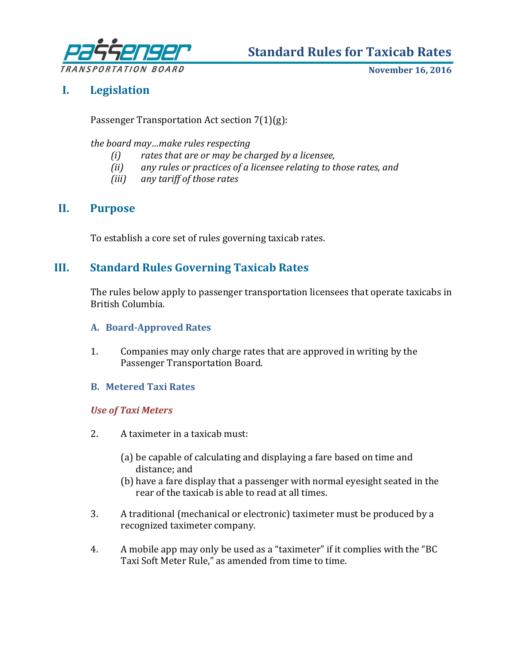

**Standard Rules for Taxicab Rates**

**November 16, 2016**

# **I. Legislation**

Passenger Transportation Act section 7(1)(g):

*the board may…make rules respecting* 

- *(i) rates that are or may be charged by a licensee,*
- *(ii) any rules or practices of a licensee relating to those rates, and*
- *(iii) any tariff of those rates*

# **II. Purpose**

To establish a core set of rules governing taxicab rates.

# **III. Standard Rules Governing Taxicab Rates**

The rules below apply to passenger transportation licensees that operate taxicabs in British Columbia.

# **A. Board-Approved Rates**

1. Companies may only charge rates that are approved in writing by the Passenger Transportation Board.

# **B. Metered Taxi Rates**

# *Use of Taxi Meters*

- 2. A taximeter in a taxicab must:
	- (a) be capable of calculating and displaying a fare based on time and distance; and
	- (b) have a fare display that a passenger with normal eyesight seated in the rear of the taxicab is able to read at all times.
- 3. A traditional (mechanical or electronic) taximeter must be produced by a recognized taximeter company.
- 4. A mobile app may only be used as a "taximeter" if it complies with the "BC Taxi Soft Meter Rule," as amended from time to time.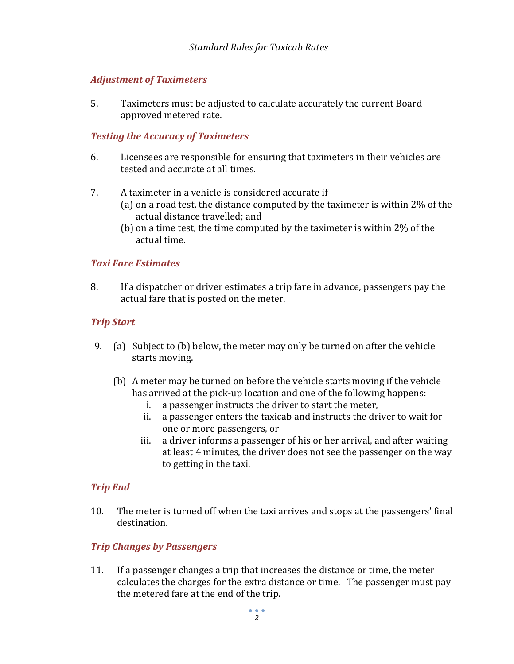# *Adjustment of Taximeters*

5. Taximeters must be adjusted to calculate accurately the current Board approved metered rate.

### *Testing the Accuracy of Taximeters*

- 6. Licensees are responsible for ensuring that taximeters in their vehicles are tested and accurate at all times.
- 7. A taximeter in a vehicle is considered accurate if
	- (a) on a road test, the distance computed by the taximeter is within 2% of the actual distance travelled; and
	- (b) on a time test, the time computed by the taximeter is within 2% of the actual time.

### *Taxi Fare Estimates*

8. If a dispatcher or driver estimates a trip fare in advance, passengers pay the actual fare that is posted on the meter.

### *Trip Start*

- 9. (a) Subject to (b) below, the meter may only be turned on after the vehicle starts moving.
	- (b) A meter may be turned on before the vehicle starts moving if the vehicle has arrived at the pick-up location and one of the following happens:
		- i. a passenger instructs the driver to start the meter,
		- ii. a passenger enters the taxicab and instructs the driver to wait for one or more passengers, or
		- iii. a driver informs a passenger of his or her arrival, and after waiting at least 4 minutes, the driver does not see the passenger on the way to getting in the taxi.

#### *Trip End*

10. The meter is turned off when the taxi arrives and stops at the passengers' final destination.

#### *Trip Changes by Passengers*

11. If a passenger changes a trip that increases the distance or time, the meter calculates the charges for the extra distance or time. The passenger must pay the metered fare at the end of the trip.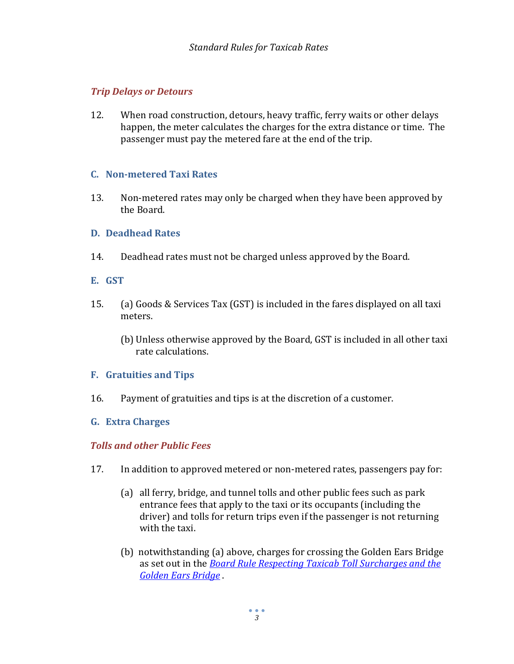# *Trip Delays or Detours*

12. When road construction, detours, heavy traffic, ferry waits or other delays happen, the meter calculates the charges for the extra distance or time. The passenger must pay the metered fare at the end of the trip.

### **C. Non-metered Taxi Rates**

13. Non-metered rates may only be charged when they have been approved by the Board.

### **D. Deadhead Rates**

14. Deadhead rates must not be charged unless approved by the Board.

### **E. GST**

- 15. (a) Goods & Services Tax (GST) is included in the fares displayed on all taxi meters.
	- (b) Unless otherwise approved by the Board, GST is included in all other taxi rate calculations.

#### **F. Gratuities and Tips**

16. Payment of gratuities and tips is at the discretion of a customer.

# **G. Extra Charges**

# *Tolls and other Public Fees*

- 17. In addition to approved metered or non-metered rates, passengers pay for:
	- (a) all ferry, bridge, and tunnel tolls and other public fees such as park entrance fees that apply to the taxi or its occupants (including the driver) and tolls for return trips even if the passenger is not returning with the taxi.
	- (b) notwithstanding (a) above, charges for crossing the Golden Ears Bridge as set out in the *[Board Rule Respecting Taxicab Toll Surcharges and the](http://www.ptboard.bc.ca/documents/GEB-taxi-toll-surcharge-july-15-2015.pdf)  [Golden Ears Bridge](http://www.ptboard.bc.ca/documents/GEB-taxi-toll-surcharge-july-15-2015.pdf)* .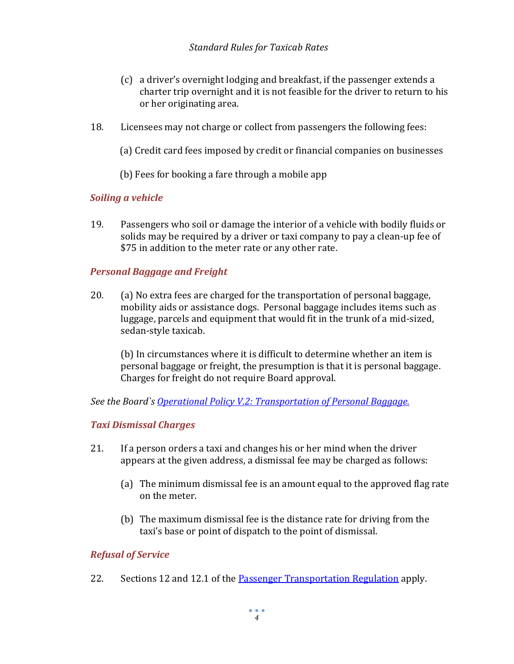# *Standard Rules for Taxicab Rates*

- (c) a driver's overnight lodging and breakfast, if the passenger extends a charter trip overnight and it is not feasible for the driver to return to his or her originating area.
- 18. Licensees may not charge or collect from passengers the following fees:
	- (a) Credit card fees imposed by credit or financial companies on businesses
	- (b) Fees for booking a fare through a mobile app

# *Soiling a vehicle*

19. Passengers who soil or damage the interior of a vehicle with bodily fluids or solids may be required by a driver or taxi company to pay a clean-up fee of \$75 in addition to the meter rate or any other rate.

# *Personal Baggage and Freight*

20. (a) No extra fees are charged for the transportation of personal baggage, mobility aids or assistance dogs. Personal baggage includes items such as luggage, parcels and equipment that would fit in the trunk of a mid-sized, sedan-style taxicab.

(b) In circumstances where it is difficult to determine whether an item is personal baggage or freight, the presumption is that it is personal baggage. Charges for freight do not require Board approval.

*See [the Board`s Operational Policy V.2: Transportation of Personal Baggage.](http://www.ptboard.bc.ca/operational_policies.htm#V_2)*

# *Taxi Dismissal Charges*

- 21. If a person orders a taxi and changes his or her mind when the driver appears at the given address, a dismissal fee may be charged as follows:
	- (a) The minimum dismissal fee is an amount equal to the approved flag rate on the meter.
	- (b) The maximum dismissal fee is the distance rate for driving from the taxi's base or point of dispatch to the point of dismissal.

# *Refusal of Service*

22. Sections 12 and 12.1 of the **Passenger Transportation Regulation** apply.